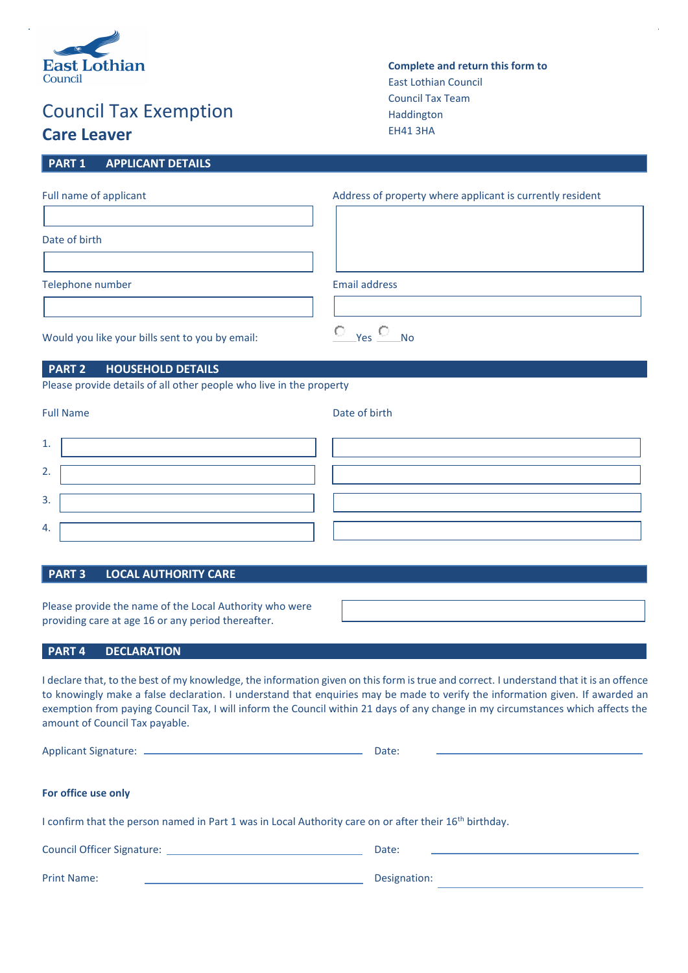

# Council Tax Exemption **Care Leaver**

**PART 1 APPLICANT DETAILS**

| <b>Complete and return this form to</b> |
|-----------------------------------------|
| <b>East Lothian Council</b>             |
| <b>Council Tax Team</b>                 |
| <b>Haddington</b>                       |
| <b>EH41 3HA</b>                         |

| Full name of applicant | Address of property where applicant is currently resident |
|------------------------|-----------------------------------------------------------|
|                        |                                                           |
| Date of birth          |                                                           |
|                        |                                                           |
| Telephone number       | <b>Email address</b>                                      |
|                        |                                                           |

Would you like your bills sent to you by email:  $\overline{C}$  Yes  $\overline{C}$  No

# **PART 2 HOUSEHOLD DETAILS**

Please provide details of all other people who live in the property

Full Name Date of birth

| <b>.</b>        |  |  |
|-----------------|--|--|
| ۔<br><u>. .</u> |  |  |
| ∽<br>. د        |  |  |
| 4.              |  |  |

# **PART 3 LOCAL AUTHORITY CARE**

Please provide the name of the Local Authority who were providing care at age 16 or any period thereafter.

Print Name: Designation:

# **PART 4 DECLARATION**

I declare that, to the best of my knowledge, the information given on this form is true and correct. I understand that it is an offence to knowingly make a false declaration. I understand that enquiries may be made to verify the information given. If awarded an exemption from paying Council Tax, I will inform the Council within 21 days of any change in my circumstances which affects the amount of Council Tax payable.

|                                                                                                                    | Date:                                                                                                                          |  |  |  |  |  |
|--------------------------------------------------------------------------------------------------------------------|--------------------------------------------------------------------------------------------------------------------------------|--|--|--|--|--|
|                                                                                                                    |                                                                                                                                |  |  |  |  |  |
| For office use only                                                                                                |                                                                                                                                |  |  |  |  |  |
| I confirm that the person named in Part 1 was in Local Authority care on or after their 16 <sup>th</sup> birthday. |                                                                                                                                |  |  |  |  |  |
| Council Officer Signature: <u>contract the contract of the contract of</u>                                         | Date:<br><u> 1989 - John Harry Harry Harry Harry Harry Harry Harry Harry Harry Harry Harry Harry Harry Harry Harry Harry H</u> |  |  |  |  |  |